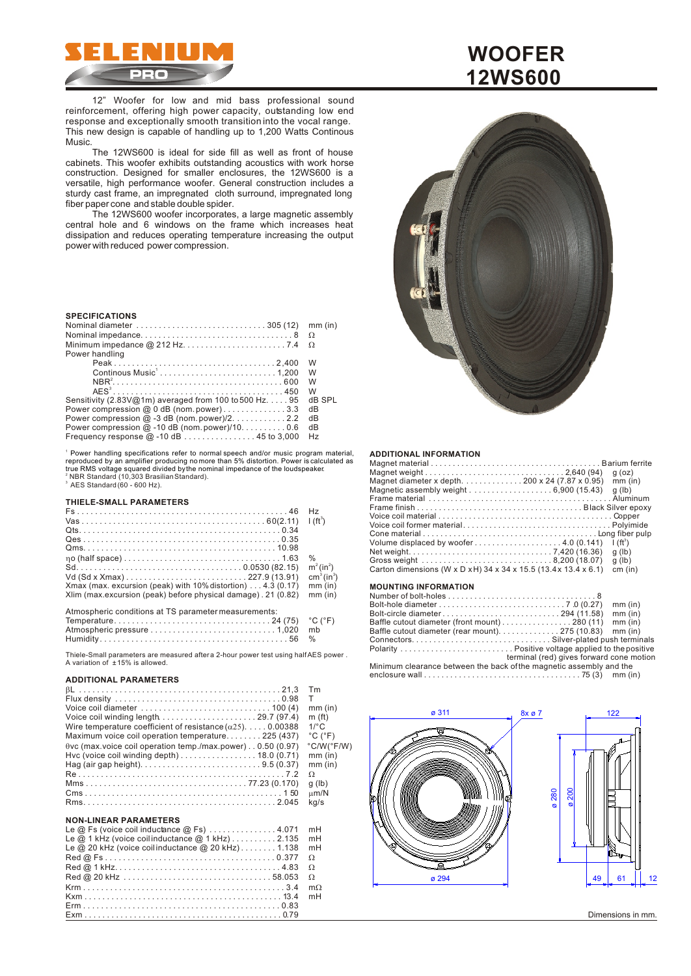

12" Woofer for low and mid bass professional sound reinforcement, offering high power capacity, outstanding low end response and exceptionally smooth transition into the vocal range. This new design is capable of handling up to 1,200 Watts Continous Music.

The 12WS600 is ideal for side fill as well as front of house cabinets. This woofer exhibits outstanding acoustics with work horse construction. Designed for smaller enclosures, the 12WS600 is a versatile, high performance woofer. General construction includes a sturdy cast frame, an impregnated cloth surround, impregnated long fiber paper cone and stable double spider.

The 12WS600 woofer incorporates, a large magnetic assembly central hole and 6 windows on the frame which increases heat dissipation and reduces operating temperature increasing the output power with reduced power compression.

### **SPECIFICATIONS**

|                                                                 | mm (in) |
|-----------------------------------------------------------------|---------|
|                                                                 |         |
|                                                                 |         |
| Power handling                                                  |         |
|                                                                 | W       |
|                                                                 | W       |
|                                                                 | W       |
|                                                                 | W       |
| Sensitivity (2.83V@1m) averaged from 100 to 500 Hz. $\dots$ .95 | dB SPL  |
| Power compression @ 0 dB (nom.power)3.3                         | dB      |
| Power compression $@-3$ dB (nom. power)/2. 2.2                  | dB      |
| Power compression $@$ -10 dB (nom.power)/100.6                  | dB      |
| Frequency response $@-10 dB$ 45 to 3,000                        | Hz      |

1 Power handling specifications refer to normal speech and/or music program material, <sup>2</sup> NBR Standard (10,303 Brasilian Standard).<br><sup>3</sup> AES Standard (60 - 600 Hz). reproduced by an amplifier producing no more than 5% distortion. Power is calculated as true RMS voltage squared divided by the nominal impedance of the loudspeaker.

#### **THIELE-SMALL PARAMETERS**

|                                                                        | H <sub>z</sub>                     |
|------------------------------------------------------------------------|------------------------------------|
|                                                                        | 1(f <sup>3</sup> )                 |
|                                                                        |                                    |
|                                                                        |                                    |
|                                                                        |                                    |
|                                                                        | $\%$                               |
|                                                                        | $m^2$ (in <sup>2</sup> )           |
|                                                                        | cm <sup>3</sup> (in <sup>3</sup> ) |
| Xmax (max. excursion (peak) with $10\%$ distortion) $\dots$ 4.3 (0.17) | $mm$ (in)                          |
| Xlim (max.excursion (peak) before physical damage). 21 (0.82)          | $mm$ (in)                          |
|                                                                        |                                    |
| Atmospheric conditions at TS parameter measurements:                   |                                    |
|                                                                        |                                    |

Thiele-Small parameters are measured after a 2-hour power test using half AES power. A variation of ± 15% is allowed.

## **ADDITIONAL PARAMETERS**

|                                                                                                     | Tm                           |
|-----------------------------------------------------------------------------------------------------|------------------------------|
|                                                                                                     | т                            |
| Voice coil diameter $\ldots \ldots \ldots \ldots \ldots \ldots \ldots \ldots \ldots \ldots$ 100 (4) | $mm$ (in)                    |
| Voice coil winding length $\ldots \ldots \ldots \ldots \ldots \ldots \ldots$ 29.7 (97.4)            | m(f <sub>t</sub> )           |
| Wire temperature coefficient of resistance ()0.00388                                                | $1$ <sup>o</sup> $C$         |
| Maximum voice coil operation temperature225 (437)                                                   | $^{\circ}$ C ( $^{\circ}$ F) |
| vc (max.voice coil operation temp./max.power) 0.50 (0.97)                                           | $°C/W(^{\circ}F/W)$          |
| Hvc (voice coil winding depth) $\ldots \ldots \ldots \ldots \ldots$ 18.0 (0.71)                     | $mm$ (in)                    |
|                                                                                                     | $mm$ (in)                    |
|                                                                                                     |                              |
|                                                                                                     | q (lb)                       |
|                                                                                                     | m/N                          |
|                                                                                                     | kg/s                         |
|                                                                                                     |                              |

# **NON-LINEAR PARAMETERS**

| Le $@$ Fs (voice coil inductance $@$ Fs) 4.071                             | mH |
|----------------------------------------------------------------------------|----|
| Le $@$ 1 kHz (voice coilinductance $@$ 1 kHz) $\ldots \ldots \ldots$ 2.135 | mH |
| Le $@$ 20 kHz (voice coilinductance $@$ 20 kHz)1.138                       | mH |
|                                                                            |    |
|                                                                            |    |
|                                                                            |    |
|                                                                            | m  |
|                                                                            | mH |
|                                                                            |    |
|                                                                            |    |

# **WOOFER 12WS600**



#### **ADDITIONAL INFORMATION**

| Magnet diameter x depth200 x 24 (7.87 x 0.95)<br>Carton dimensions (W x D x H) 34 x 34 x 15.5 (13.4 x 13.4 x 6.1) | $q$ (oz)<br>$mm$ (in)<br>$q$ (lb)<br>$\frac{1}{2}$ (ft <sup>3</sup> )<br>$q$ (lb)<br>$q$ (lb)<br>cm (in) |
|-------------------------------------------------------------------------------------------------------------------|----------------------------------------------------------------------------------------------------------|
|                                                                                                                   |                                                                                                          |

# **MOUNTING INFORMATION**

|                                                                                         |                                          | mm (in)   |
|-----------------------------------------------------------------------------------------|------------------------------------------|-----------|
| Bolt-circle diameter294 (11.58)                                                         |                                          | $mm$ (in) |
| Baffle cutout diameter (front mount)280 (11)                                            |                                          | $mm$ (in) |
| Baffle cutout diameter (rear mount). 275 (10.83) mm (in)                                |                                          |           |
|                                                                                         |                                          |           |
|                                                                                         |                                          |           |
|                                                                                         | terminal (red) gives forward cone motion |           |
| Minimum clearance between the back of the magnetic assembly and the                     |                                          |           |
| enclosure wall $\dots\dots\dots\dots\dots\dots\dots\dots\dots\dots\dots$ 75 (3) mm (in) |                                          |           |



Dimensions in mm.